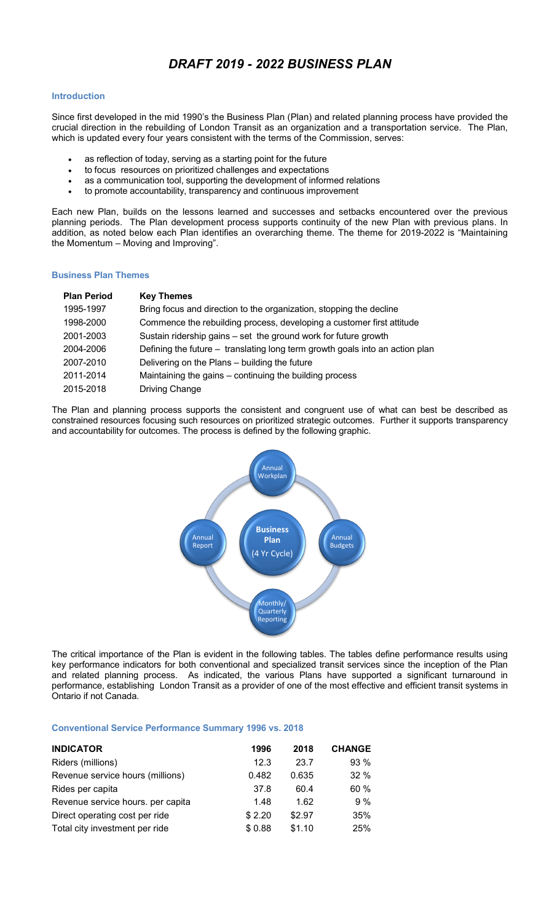# *DRAFT 2019 - 2022 BUSINESS PLAN*

#### **Introduction**

Since first developed in the mid 1990's the Business Plan (Plan) and related planning process have provided the crucial direction in the rebuilding of London Transit as an organization and a transportation service. The Plan, which is updated every four years consistent with the terms of the Commission, serves:

- as reflection of today, serving as a starting point for the future
- to focus resources on prioritized challenges and expectations
- as a communication tool, supporting the development of informed relations
- to promote accountability, transparency and continuous improvement

Each new Plan, builds on the lessons learned and successes and setbacks encountered over the previous planning periods. The Plan development process supports continuity of the new Plan with previous plans. In addition, as noted below each Plan identifies an overarching theme. The theme for 2019-2022 is "Maintaining the Momentum – Moving and Improving".

#### **Business Plan Themes**

| <b>Plan Period</b> | <b>Key Themes</b>                                                            |
|--------------------|------------------------------------------------------------------------------|
| 1995-1997          | Bring focus and direction to the organization, stopping the decline          |
| 1998-2000          | Commence the rebuilding process, developing a customer first attitude        |
| 2001-2003          | Sustain ridership gains - set the ground work for future growth              |
| 2004-2006          | Defining the future – translating long term growth goals into an action plan |
| 2007-2010          | Delivering on the Plans – building the future                                |
| 2011-2014          | Maintaining the gains - continuing the building process                      |
| 2015-2018          | <b>Driving Change</b>                                                        |

The Plan and planning process supports the consistent and congruent use of what can best be described as constrained resources focusing such resources on prioritized strategic outcomes. Further it supports transparency and accountability for outcomes. The process is defined by the following graphic.



The critical importance of the Plan is evident in the following tables. The tables define performance results using key performance indicators for both conventional and specialized transit services since the inception of the Plan and related planning process. As indicated, the various Plans have supported a significant turnaround in performance, establishing London Transit as a provider of one of the most effective and efficient transit systems in Ontario if not Canada.

#### **Conventional Service Performance Summary 1996 vs. 2018**

| <b>INDICATOR</b>                  | 1996   | 2018   | <b>CHANGE</b> |
|-----------------------------------|--------|--------|---------------|
| Riders (millions)                 | 12.3   | 23.7   | 93%           |
| Revenue service hours (millions)  | 0.482  | 0.635  | 32 %          |
| Rides per capita                  | 37.8   | 60.4   | 60%           |
| Revenue service hours. per capita | 1.48   | 1.62   | 9%            |
| Direct operating cost per ride    | \$2.20 | \$2.97 | 35%           |
| Total city investment per ride    | \$0.88 | \$1.10 | 25%           |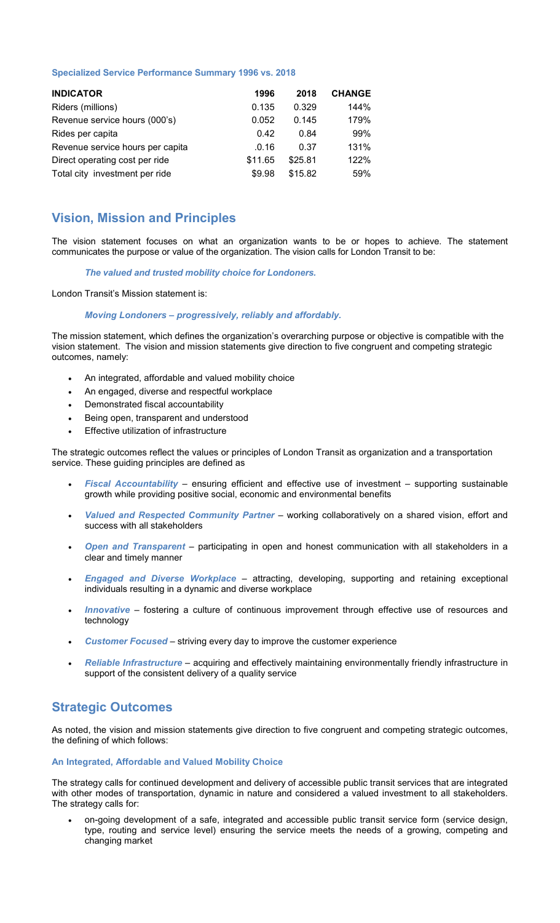#### **Specialized Service Performance Summary 1996 vs. 2018**

| <b>INDICATOR</b>                 | 1996    | 2018    | <b>CHANGE</b> |
|----------------------------------|---------|---------|---------------|
| Riders (millions)                | 0.135   | 0.329   | 144%          |
| Revenue service hours (000's)    | 0.052   | 0.145   | 179%          |
| Rides per capita                 | 0.42    | 0.84    | 99%           |
| Revenue service hours per capita | .0.16   | 0.37    | 131%          |
| Direct operating cost per ride   | \$11.65 | \$25.81 | 122%          |
| Total city investment per ride   | \$9.98  | \$15.82 | 59%           |

## **Vision, Mission and Principles**

The vision statement focuses on what an organization wants to be or hopes to achieve. The statement communicates the purpose or value of the organization. The vision calls for London Transit to be:

#### *The valued and trusted mobility choice for Londoners.*

London Transit's Mission statement is:

## *Moving Londoners – progressively, reliably and affordably.*

The mission statement, which defines the organization's overarching purpose or objective is compatible with the vision statement. The vision and mission statements give direction to five congruent and competing strategic outcomes, namely:

- An integrated, affordable and valued mobility choice
- An engaged, diverse and respectful workplace
- Demonstrated fiscal accountability
- Being open, transparent and understood
- Effective utilization of infrastructure

The strategic outcomes reflect the values or principles of London Transit as organization and a transportation service. These guiding principles are defined as

- *Fiscal Accountability* ensuring efficient and effective use of investment supporting sustainable growth while providing positive social, economic and environmental benefits
- *Valued and Respected Community Partner* working collaboratively on a shared vision, effort and success with all stakeholders
- *Open and Transparent* participating in open and honest communication with all stakeholders in a clear and timely manner
- *Engaged and Diverse Workplace* attracting, developing, supporting and retaining exceptional individuals resulting in a dynamic and diverse workplace
- *Innovative* fostering a culture of continuous improvement through effective use of resources and technology
- *Customer Focused* striving every day to improve the customer experience
- *Reliable Infrastructure* acquiring and effectively maintaining environmentally friendly infrastructure in support of the consistent delivery of a quality service

## **Strategic Outcomes**

As noted, the vision and mission statements give direction to five congruent and competing strategic outcomes, the defining of which follows:

#### **An Integrated, Affordable and Valued Mobility Choice**

The strategy calls for continued development and delivery of accessible public transit services that are integrated with other modes of transportation, dynamic in nature and considered a valued investment to all stakeholders. The strategy calls for:

• on-going development of a safe, integrated and accessible public transit service form (service design, type, routing and service level) ensuring the service meets the needs of a growing, competing and changing market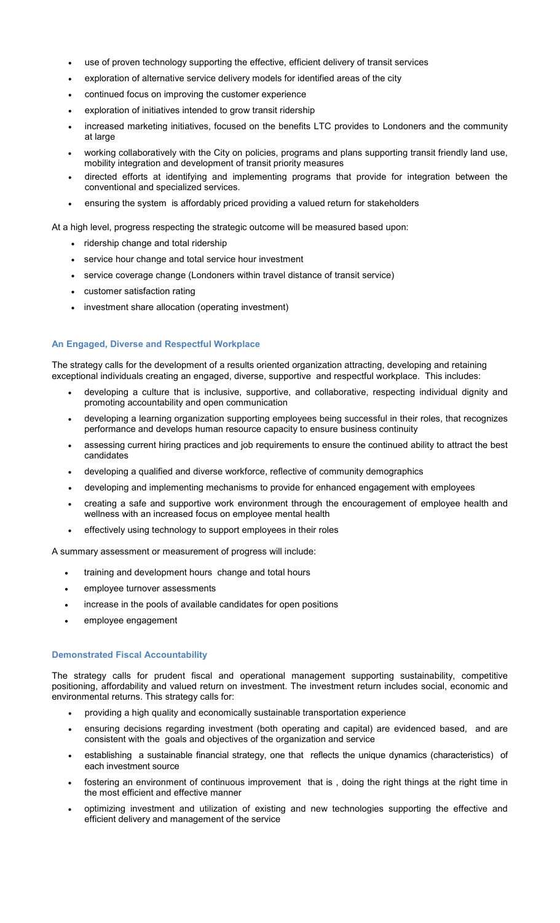- use of proven technology supporting the effective, efficient delivery of transit services
- exploration of alternative service delivery models for identified areas of the city
- continued focus on improving the customer experience
- exploration of initiatives intended to grow transit ridership
- increased marketing initiatives, focused on the benefits LTC provides to Londoners and the community at large
- working collaboratively with the City on policies, programs and plans supporting transit friendly land use, mobility integration and development of transit priority measures
- directed efforts at identifying and implementing programs that provide for integration between the conventional and specialized services.
- ensuring the system is affordably priced providing a valued return for stakeholders

At a high level, progress respecting the strategic outcome will be measured based upon:

- ridership change and total ridership
- service hour change and total service hour investment
- service coverage change (Londoners within travel distance of transit service)
- customer satisfaction rating
- investment share allocation (operating investment)

### **An Engaged, Diverse and Respectful Workplace**

The strategy calls for the development of a results oriented organization attracting, developing and retaining exceptional individuals creating an engaged, diverse, supportive and respectful workplace. This includes:

- developing a culture that is inclusive, supportive, and collaborative, respecting individual dignity and promoting accountability and open communication
- developing a learning organization supporting employees being successful in their roles, that recognizes performance and develops human resource capacity to ensure business continuity
- assessing current hiring practices and job requirements to ensure the continued ability to attract the best candidates
- developing a qualified and diverse workforce, reflective of community demographics
- developing and implementing mechanisms to provide for enhanced engagement with employees
- creating a safe and supportive work environment through the encouragement of employee health and wellness with an increased focus on employee mental health
- effectively using technology to support employees in their roles

A summary assessment or measurement of progress will include:

- training and development hours change and total hours
- employee turnover assessments
- increase in the pools of available candidates for open positions
- employee engagement

#### **Demonstrated Fiscal Accountability**

The strategy calls for prudent fiscal and operational management supporting sustainability, competitive positioning, affordability and valued return on investment. The investment return includes social, economic and environmental returns. This strategy calls for:

- providing a high quality and economically sustainable transportation experience
- ensuring decisions regarding investment (both operating and capital) are evidenced based, and are consistent with the goals and objectives of the organization and service
- establishing a sustainable financial strategy, one that reflects the unique dynamics (characteristics) of each investment source
- fostering an environment of continuous improvement that is , doing the right things at the right time in the most efficient and effective manner
- optimizing investment and utilization of existing and new technologies supporting the effective and efficient delivery and management of the service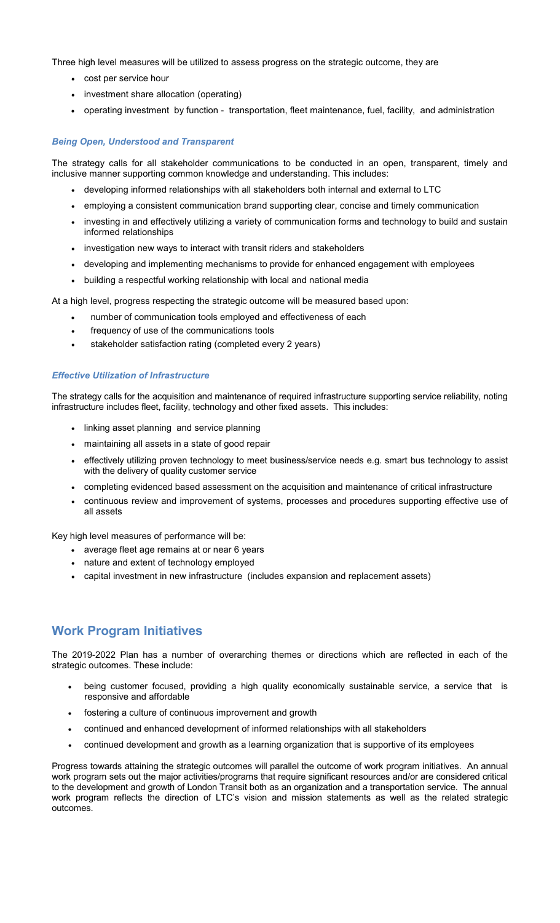Three high level measures will be utilized to assess progress on the strategic outcome, they are

- cost per service hour
- investment share allocation (operating)
- operating investment by function transportation, fleet maintenance, fuel, facility, and administration

## *Being Open, Understood and Transparent*

The strategy calls for all stakeholder communications to be conducted in an open, transparent, timely and inclusive manner supporting common knowledge and understanding. This includes:

- developing informed relationships with all stakeholders both internal and external to LTC
- employing a consistent communication brand supporting clear, concise and timely communication
- investing in and effectively utilizing a variety of communication forms and technology to build and sustain informed relationships
- investigation new ways to interact with transit riders and stakeholders
- developing and implementing mechanisms to provide for enhanced engagement with employees
- building a respectful working relationship with local and national media

At a high level, progress respecting the strategic outcome will be measured based upon:

- number of communication tools employed and effectiveness of each
- frequency of use of the communications tools
- stakeholder satisfaction rating (completed every 2 years)

### *Effective Utilization of Infrastructure*

The strategy calls for the acquisition and maintenance of required infrastructure supporting service reliability, noting infrastructure includes fleet, facility, technology and other fixed assets. This includes:

- linking asset planning and service planning
- maintaining all assets in a state of good repair
- effectively utilizing proven technology to meet business/service needs e.g. smart bus technology to assist with the delivery of quality customer service
- completing evidenced based assessment on the acquisition and maintenance of critical infrastructure
- continuous review and improvement of systems, processes and procedures supporting effective use of all assets

Key high level measures of performance will be:

- average fleet age remains at or near 6 years
- nature and extent of technology employed
- capital investment in new infrastructure (includes expansion and replacement assets)

# **Work Program Initiatives**

The 2019-2022 Plan has a number of overarching themes or directions which are reflected in each of the strategic outcomes. These include:

- being customer focused, providing a high quality economically sustainable service, a service that is responsive and affordable
- fostering a culture of continuous improvement and growth
- continued and enhanced development of informed relationships with all stakeholders
- continued development and growth as a learning organization that is supportive of its employees

Progress towards attaining the strategic outcomes will parallel the outcome of work program initiatives. An annual work program sets out the major activities/programs that require significant resources and/or are considered critical to the development and growth of London Transit both as an organization and a transportation service. The annual work program reflects the direction of LTC's vision and mission statements as well as the related strategic outcomes.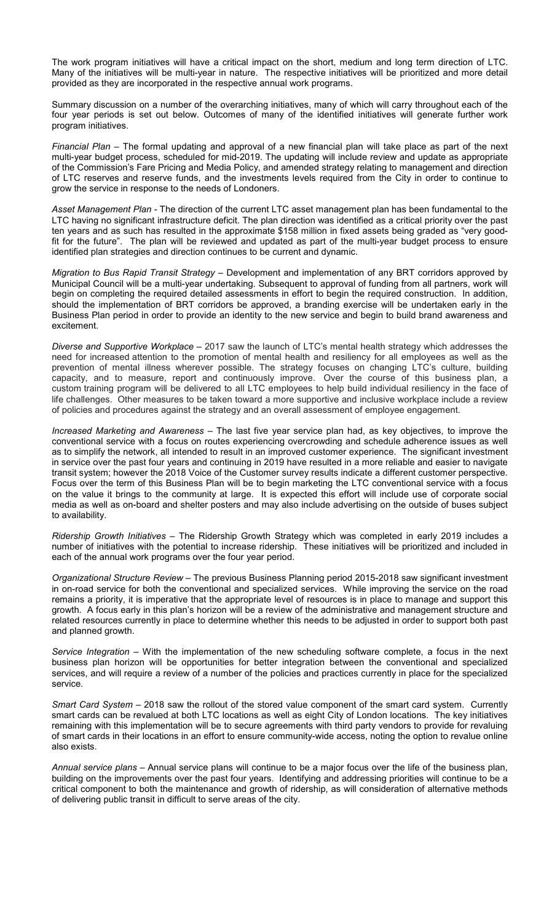The work program initiatives will have a critical impact on the short, medium and long term direction of LTC. Many of the initiatives will be multi-year in nature. The respective initiatives will be prioritized and more detail provided as they are incorporated in the respective annual work programs.

Summary discussion on a number of the overarching initiatives, many of which will carry throughout each of the four year periods is set out below. Outcomes of many of the identified initiatives will generate further work program initiatives.

*Financial Plan* – The formal updating and approval of a new financial plan will take place as part of the next multi-year budget process, scheduled for mid-2019. The updating will include review and update as appropriate of the Commission's Fare Pricing and Media Policy, and amended strategy relating to management and direction of LTC reserves and reserve funds, and the investments levels required from the City in order to continue to grow the service in response to the needs of Londoners.

*Asset Management Plan -* The direction of the current LTC asset management plan has been fundamental to the LTC having no significant infrastructure deficit. The plan direction was identified as a critical priority over the past ten years and as such has resulted in the approximate \$158 million in fixed assets being graded as "very goodfit for the future". The plan will be reviewed and updated as part of the multi-year budget process to ensure identified plan strategies and direction continues to be current and dynamic.

*Migration to Bus Rapid Transit Strategy –* Development and implementation of any BRT corridors approved by Municipal Council will be a multi-year undertaking. Subsequent to approval of funding from all partners, work will begin on completing the required detailed assessments in effort to begin the required construction. In addition, should the implementation of BRT corridors be approved, a branding exercise will be undertaken early in the Business Plan period in order to provide an identity to the new service and begin to build brand awareness and excitement.

*Diverse and Supportive Workplace –* 2017 saw the launch of LTC's mental health strategy which addresses the need for increased attention to the promotion of mental health and resiliency for all employees as well as the prevention of mental illness wherever possible. The strategy focuses on changing LTC's culture, building capacity, and to measure, report and continuously improve. Over the course of this business plan, a custom training program will be delivered to all LTC employees to help build individual resiliency in the face of life challenges. Other measures to be taken toward a more supportive and inclusive workplace include a review of policies and procedures against the strategy and an overall assessment of employee engagement.

*Increased Marketing and Awareness –* The last five year service plan had, as key objectives, to improve the conventional service with a focus on routes experiencing overcrowding and schedule adherence issues as well as to simplify the network, all intended to result in an improved customer experience. The significant investment in service over the past four years and continuing in 2019 have resulted in a more reliable and easier to navigate transit system; however the 2018 Voice of the Customer survey results indicate a different customer perspective. Focus over the term of this Business Plan will be to begin marketing the LTC conventional service with a focus on the value it brings to the community at large. It is expected this effort will include use of corporate social media as well as on-board and shelter posters and may also include advertising on the outside of buses subject to availability.

*Ridership Growth Initiatives –* The Ridership Growth Strategy which was completed in early 2019 includes a number of initiatives with the potential to increase ridership. These initiatives will be prioritized and included in each of the annual work programs over the four year period.

*Organizational Structure Review –* The previous Business Planning period 2015-2018 saw significant investment in on-road service for both the conventional and specialized services. While improving the service on the road remains a priority, it is imperative that the appropriate level of resources is in place to manage and support this growth. A focus early in this plan's horizon will be a review of the administrative and management structure and related resources currently in place to determine whether this needs to be adjusted in order to support both past and planned growth.

*Service Integration –* With the implementation of the new scheduling software complete, a focus in the next business plan horizon will be opportunities for better integration between the conventional and specialized services, and will require a review of a number of the policies and practices currently in place for the specialized service.

*Smart Card System –* 2018 saw the rollout of the stored value component of the smart card system. Currently smart cards can be revalued at both LTC locations as well as eight City of London locations. The key initiatives remaining with this implementation will be to secure agreements with third party vendors to provide for revaluing of smart cards in their locations in an effort to ensure community-wide access, noting the option to revalue online also exists.

*Annual service plans –* Annual service plans will continue to be a major focus over the life of the business plan, building on the improvements over the past four years. Identifying and addressing priorities will continue to be a critical component to both the maintenance and growth of ridership, as will consideration of alternative methods of delivering public transit in difficult to serve areas of the city.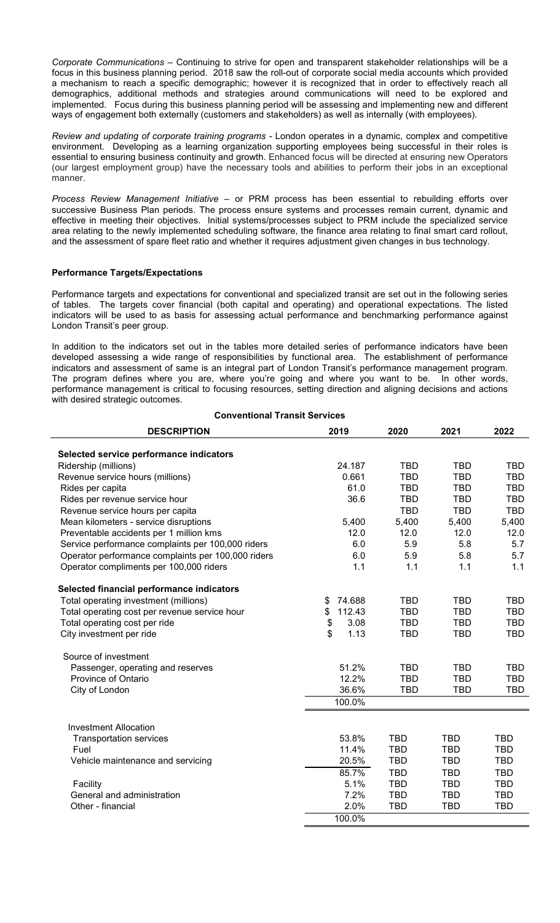*Corporate Communications –* Continuing to strive for open and transparent stakeholder relationships will be a focus in this business planning period. 2018 saw the roll-out of corporate social media accounts which provided a mechanism to reach a specific demographic; however it is recognized that in order to effectively reach all demographics, additional methods and strategies around communications will need to be explored and implemented. Focus during this business planning period will be assessing and implementing new and different ways of engagement both externally (customers and stakeholders) as well as internally (with employees).

*Review and updating of corporate training programs -* London operates in a dynamic, complex and competitive environment. Developing as a learning organization supporting employees being successful in their roles is essential to ensuring business continuity and growth. Enhanced focus will be directed at ensuring new Operators (our largest employment group) have the necessary tools and abilities to perform their jobs in an exceptional manner.

*Process Review Management Initiative* – or PRM process has been essential to rebuilding efforts over successive Business Plan periods. The process ensure systems and processes remain current, dynamic and effective in meeting their objectives. Initial systems/processes subject to PRM include the specialized service area relating to the newly implemented scheduling software, the finance area relating to final smart card rollout, and the assessment of spare fleet ratio and whether it requires adjustment given changes in bus technology.

## **Performance Targets/Expectations**

Performance targets and expectations for conventional and specialized transit are set out in the following series of tables. The targets cover financial (both capital and operating) and operational expectations. The listed indicators will be used to as basis for assessing actual performance and benchmarking performance against London Transit's peer group.

In addition to the indicators set out in the tables more detailed series of performance indicators have been developed assessing a wide range of responsibilities by functional area. The establishment of performance indicators and assessment of same is an integral part of London Transit's performance management program. The program defines where you are, where you're going and where you want to be*.* In other words, performance management is critical to focusing resources, setting direction and aligning decisions and actions with desired strategic outcomes.

**Conventional Transit Services**

| <b>DESCRIPTION</b>                                 | 2019         | 2020       | 2021       | 2022       |
|----------------------------------------------------|--------------|------------|------------|------------|
| Selected service performance indicators            |              |            |            |            |
| Ridership (millions)                               | 24.187       | <b>TBD</b> | <b>TBD</b> | <b>TBD</b> |
| Revenue service hours (millions)                   | 0.661        | <b>TBD</b> | <b>TBD</b> | <b>TBD</b> |
| Rides per capita                                   | 61.0         | <b>TBD</b> | <b>TBD</b> | <b>TBD</b> |
| Rides per revenue service hour                     | 36.6         | <b>TBD</b> | <b>TBD</b> | <b>TBD</b> |
| Revenue service hours per capita                   |              | <b>TBD</b> | <b>TBD</b> | <b>TBD</b> |
| Mean kilometers - service disruptions              | 5,400        | 5,400      | 5,400      | 5,400      |
| Preventable accidents per 1 million kms            | 12.0         | 12.0       | 12.0       | 12.0       |
| Service performance complaints per 100,000 riders  | 6.0          | 5.9        | 5.8        | 5.7        |
| Operator performance complaints per 100,000 riders | 6.0          | 5.9        | 5.8        | 5.7        |
| Operator compliments per 100,000 riders            | 1.1          | 1.1        | 1.1        | 1.1        |
| Selected financial performance indicators          |              |            |            |            |
| Total operating investment (millions)              | 74.688<br>\$ | <b>TBD</b> | <b>TBD</b> | <b>TBD</b> |
| Total operating cost per revenue service hour      | 112.43<br>\$ | <b>TBD</b> | <b>TBD</b> | <b>TBD</b> |
| Total operating cost per ride                      | \$<br>3.08   | <b>TBD</b> | <b>TBD</b> | <b>TBD</b> |
| City investment per ride                           | \$<br>1.13   | <b>TBD</b> | <b>TBD</b> | <b>TBD</b> |
| Source of investment                               |              |            |            |            |
| Passenger, operating and reserves                  | 51.2%        | <b>TBD</b> | <b>TBD</b> | <b>TBD</b> |
| Province of Ontario                                | 12.2%        | <b>TBD</b> | <b>TBD</b> | <b>TBD</b> |
| City of London                                     | 36.6%        | <b>TBD</b> | <b>TBD</b> | <b>TBD</b> |
|                                                    | 100.0%       |            |            |            |
| <b>Investment Allocation</b>                       |              |            |            |            |
| <b>Transportation services</b>                     | 53.8%        | <b>TBD</b> | <b>TBD</b> | <b>TBD</b> |
| Fuel                                               | 11.4%        | <b>TBD</b> | <b>TBD</b> | <b>TBD</b> |
| Vehicle maintenance and servicing                  | 20.5%        | <b>TBD</b> | <b>TBD</b> | <b>TBD</b> |
|                                                    | 85.7%        | <b>TBD</b> | <b>TBD</b> | <b>TBD</b> |
| Facility                                           | 5.1%         | <b>TBD</b> | <b>TBD</b> | TBD        |
| General and administration                         | 7.2%         | <b>TBD</b> | <b>TBD</b> | <b>TBD</b> |
| Other - financial                                  | 2.0%         | <b>TBD</b> | <b>TBD</b> | <b>TBD</b> |
|                                                    | 100.0%       |            |            |            |